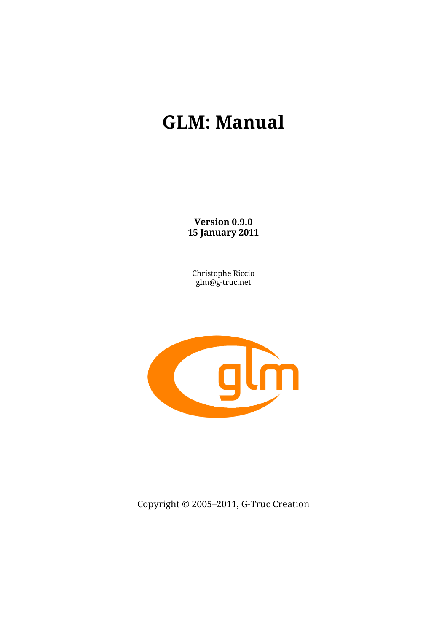# **GLM: Manual**

**Version 0.9.0 15 January 2011**

Christophe Riccio glm@g-truc.net



Copyright © 2005–2011, G-Truc Creation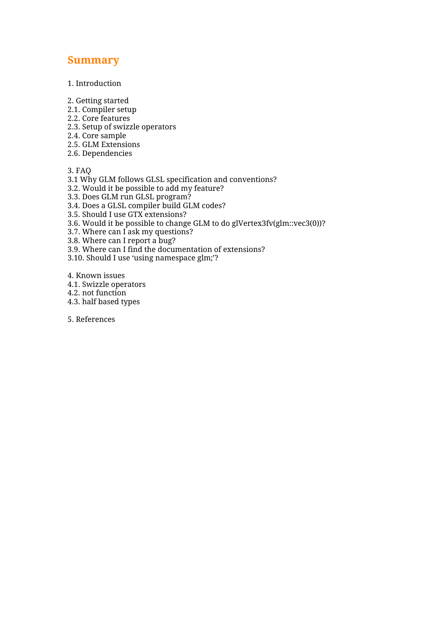# **Summary**

1. Introduction

2. Getting started

- 2.1. Compiler setup
- 2.2. Core features
- 2.3. Setup of swizzle operators
- 2.4. Core sample
- 2.5. GLM Extensions
- 2.6. Dependencies

3. FAQ

- 3.1 Why GLM follows GLSL specification and conventions?
- 3.2. Would it be possible to add my feature?
- 3.3. Does GLM run GLSL program?
- 3.4. Does a GLSL compiler build GLM codes?
- 3.5. Should I use GTX extensions?
- 3.6. Would it be possible to change GLM to do glVertex3fv(glm::vec3(0))?
- 3.7. Where can I ask my questions?
- 3.8. Where can I report a bug?
- 3.9. Where can I find the documentation of extensions?
- 3.10. Should I use 'using namespace glm;'?

4. Known issues

- 4.1. Swizzle operators
- 4.2. not function
- 4.3. half based types

5. References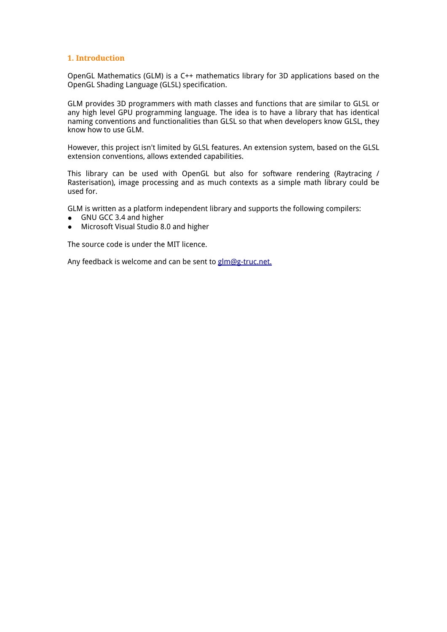# **1. Introduction**

OpenGL Mathematics (GLM) is a C++ mathematics library for 3D applications based on the OpenGL Shading Language (GLSL) specification.

GLM provides 3D programmers with math classes and functions that are similar to GLSL or any high level GPU programming language. The idea is to have a library that has identical naming conventions and functionalities than GLSL so that when developers know GLSL, they know how to use GLM.

However, this project isn't limited by GLSL features. An extension system, based on the GLSL extension conventions, allows extended capabilities.

This library can be used with OpenGL but also for software rendering (Raytracing / Rasterisation), image processing and as much contexts as a simple math library could be used for.

GLM is written as a platform independent library and supports the following compilers:

- GNU GCC 3.4 and higher
- Microsoft Visual Studio 8.0 and higher

The source code is under the MIT licence.

Any feedback is welcome and can be sent to [glm](mailto:glm@g-truc.net)@g[-truc.net.](mailto:glm@g-truc.net)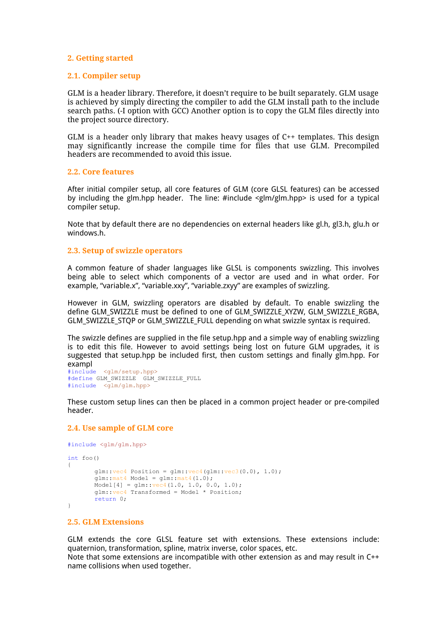#### **2. Getting started**

#### **2.1. Compiler setup**

GLM is a header library. Therefore, it doesn't require to be built separately. GLM usage is achieved by simply directing the compiler to add the GLM install path to the include search paths. (-I option with GCC) Another option is to copy the GLM files directly into the project source directory.

GLM is a header only library that makes heavy usages of C++ templates. This design may significantly increase the compile time for files that use GLM. Precompiled headers are recommended to avoid this issue.

#### **2.2. Core features**

After initial compiler setup, all core features of GLM (core GLSL features) can be accessed by including the glm.hpp header. The line: #include <glm/glm.hpp> is used for a typical compiler setup.

Note that by default there are no dependencies on external headers like gl.h, gl3.h, glu.h or windows.h.

#### **2.3. Setup of swizzle operators**

A common feature of shader languages like GLSL is components swizzling. This involves being able to select which components of a vector are used and in what order. For example, "variable.x", "variable.xxy", "variable.zxyy" are examples of swizzling.

However in GLM, swizzling operators are disabled by default. To enable swizzling the define GLM\_SWIZZLE must be defined to one of GLM\_SWIZZLE\_XYZW, GLM\_SWIZZLE\_RGBA, GLM\_SWIZZLE\_STQP or GLM\_SWIZZLE\_FULL depending on what swizzle syntax is required.

The swizzle defines are supplied in the file setup.hpp and a simple way of enabling swizzling is to edit this file. However to avoid settings being lost on future GLM upgrades, it is suggested that setup.hpp be included first, then custom settings and finally glm.hpp. For exampl

#include <glm/setup.hpp> #define GLM\_SWIZZLE GLM\_SWIZZLE\_FULL #include <glm/glm.hpp>

These custom setup lines can then be placed in a common project header or pre-compiled header.

#### **2.4. Use sample of GLM core**

```
#include <glm/glm.hpp>
int foo()
{
       qlm::vec4 Position = qlm::vec4 (qlm::vec3 (0.0), 1.0);
       glm::mat4 Model = glm::mat4(1.0);Model[4] = glm::vec4(1.0, 1.0, 0.0, 1.0);glm::vec4 Transformed = Model * Position;
       return 0;
}
```
# **2.5. GLM Extensions**

GLM extends the core GLSL feature set with extensions. These extensions include: quaternion, transformation, spline, matrix inverse, color spaces, etc.

Note that some extensions are incompatible with other extension as and may result in C++ name collisions when used together.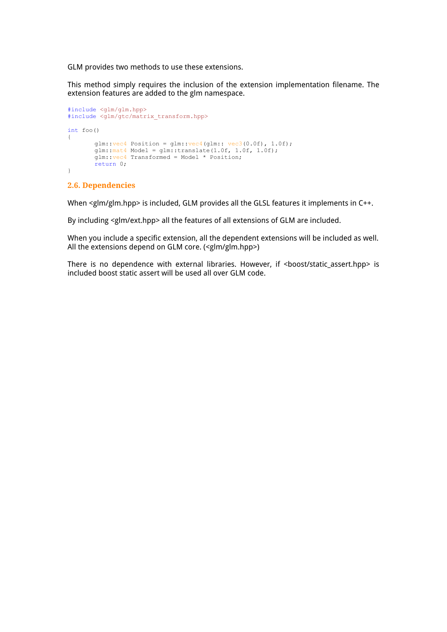GLM provides two methods to use these extensions.

This method simply requires the inclusion of the extension implementation filename. The extension features are added to the glm namespace.

```
#include <glm/glm.hpp>
#include <glm/gtc/matrix_transform.hpp>
int foo()
{
       glm::vec4 Position = glm::vec4 (glm::vec3 (0.0f), 1.0f);
       glm::mat4 Model = glm::translate(1.0f, 1.0f, 1.0f);glm::vec4 Transformed = Model * Position;
       return 0;
}
```
#### **2.6. Dependencies**

When <glm/glm.hpp> is included, GLM provides all the GLSL features it implements in C++.

By including <glm/ext.hpp> all the features of all extensions of GLM are included.

When you include a specific extension, all the dependent extensions will be included as well. All the extensions depend on GLM core. (<glm/glm.hpp>)

There is no dependence with external libraries. However, if <boost/static\_assert.hpp> is included boost static assert will be used all over GLM code.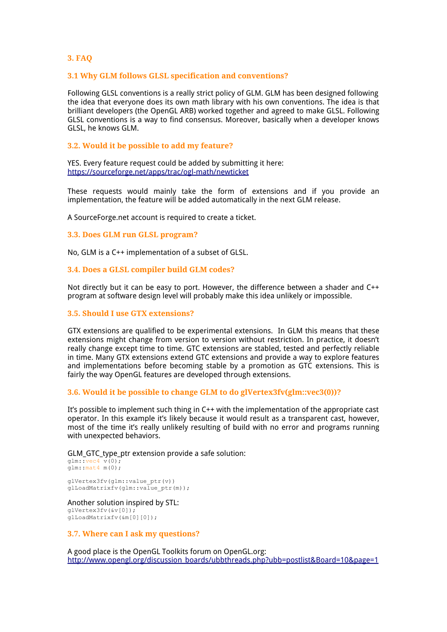# **3. FAQ**

#### **3.1 Why GLM follows GLSL specification and conventions?**

Following GLSL conventions is a really strict policy of GLM. GLM has been designed following the idea that everyone does its own math library with his own conventions. The idea is that brilliant developers (the OpenGL ARB) worked together and agreed to make GLSL. Following GLSL conventions is a way to find consensus. Moreover, basically when a developer knows GLSL, he knows GLM.

#### **3.2. Would it be possible to add my feature?**

YES. Every feature request could be added by submitting i[t](http://www.google.com/url?q=https%3A%2F%2Fsourceforge.net%2Fapps%2Ftrac%2Fogl-math%2Fnewticket&sa=D&sntz=1&usg=AFQjCNEkp6kROg7wcAG0eGgxjjr7AHkQlQ) [here](http://www.google.com/url?q=https%3A%2F%2Fsourceforge.net%2Fapps%2Ftrac%2Fogl-math%2Fnewticket&sa=D&sntz=1&usg=AFQjCNEkp6kROg7wcAG0eGgxjjr7AHkQlQ): [https](http://www.google.com/url?q=https%3A%2F%2Fsourceforge.net%2Fapps%2Ftrac%2Fogl-math%2Fnewticket&sa=D&sntz=1&usg=AFQjCNEkp6kROg7wcAG0eGgxjjr7AHkQlQ)://so[urc](http://www.google.com/url?q=https%3A%2F%2Fsourceforge.net%2Fapps%2Ftrac%2Fogl-math%2Fnewticket&sa=D&sntz=1&usg=AFQjCNEkp6kROg7wcAG0eGgxjjr7AHkQlQ)e[forge.net/app](http://www.google.com/url?q=https%3A%2F%2Fsourceforge.net%2Fapps%2Ftrac%2Fogl-math%2Fnewticket&sa=D&sntz=1&usg=AFQjCNEkp6kROg7wcAG0eGgxjjr7AHkQlQ)s/trac/ogl-[math](http://www.google.com/url?q=https%3A%2F%2Fsourceforge.net%2Fapps%2Ftrac%2Fogl-math%2Fnewticket&sa=D&sntz=1&usg=AFQjCNEkp6kROg7wcAG0eGgxjjr7AHkQlQ)/n[ewticke](http://www.google.com/url?q=https%3A%2F%2Fsourceforge.net%2Fapps%2Ftrac%2Fogl-math%2Fnewticket&sa=D&sntz=1&usg=AFQjCNEkp6kROg7wcAG0eGgxjjr7AHkQlQ)t

These requests would mainly take the form of extensions and if you provide an implementation, the feature will be added automatically in the next GLM release.

A SourceForge.net account is required to create a ticket.

#### **3.3. Does GLM run GLSL program?**

No, GLM is a C++ implementation of a subset of GLSL.

#### **3.4. Does a GLSL compiler build GLM codes?**

Not directly but it can be easy to port. However, the difference between a shader and C++ program at software design level will probably make this idea unlikely or impossible.

#### **3.5. Should I use GTX extensions?**

GTX extensions are qualified to be experimental extensions. In GLM this means that these extensions might change from version to version without restriction. In practice, it doesn't really change except time to time. GTC extensions are stabled, tested and perfectly reliable in time. Many GTX extensions extend GTC extensions and provide a way to explore features and implementations before becoming stable by a promotion as GTC extensions. This is fairly the way OpenGL features are developed through extensions.

#### **3.6. Would it be possible to change GLM to do glVertex3fv(glm::vec3(0))?**

It's possible to implement such thing in C++ with the implementation of the appropriate cast operator. In this example it's likely because it would result as a transparent cast, however, most of the time it's really unlikely resulting of build with no error and programs running with unexpected behaviors.

GLM\_GTC\_type\_ptr extension provide a safe solution:

 $glm::vec4$   $v(0);$ glm:: mat4 m(0) ;

glVertex3fv(glm::value\_ptr(v)) glLoadMatrixfv(glm::value ptr(m));

# Another solution inspired by STL:

glVertex3fv(&v[0]); glLoadMatrixfv(&m[0][0]);

#### **3.7. Where can I ask my questions?**

A good place is the OpenGL Toolkits forum on OpenGL.org: [http:](http://www.google.com/url?q=http%3A%2F%2Fwww.opengl.org%2Fdiscussion_boards%2Fubbthreads.php%3Fubb%3Dpostlist%26Board%3D10%26page%3D1&sa=D&sntz=1&usg=AFQjCNEbVBDu2xVfX8zPV69SbsyOrw-PZg)//w[ww](http://www.google.com/url?q=http%3A%2F%2Fwww.opengl.org%2Fdiscussion_boards%2Fubbthreads.php%3Fubb%3Dpostlist%26Board%3D10%26page%3D1&sa=D&sntz=1&usg=AFQjCNEbVBDu2xVfX8zPV69SbsyOrw-PZg).[openg](http://www.google.com/url?q=http%3A%2F%2Fwww.opengl.org%2Fdiscussion_boards%2Fubbthreads.php%3Fubb%3Dpostlist%26Board%3D10%26page%3D1&sa=D&sntz=1&usg=AFQjCNEbVBDu2xVfX8zPV69SbsyOrw-PZg)l.org[/discuss](http://www.google.com/url?q=http%3A%2F%2Fwww.opengl.org%2Fdiscussion_boards%2Fubbthreads.php%3Fubb%3Dpostlist%26Board%3D10%26page%3D1&sa=D&sntz=1&usg=AFQjCNEbVBDu2xVfX8zPV69SbsyOrw-PZg)ion\_bo[ards/](http://www.google.com/url?q=http%3A%2F%2Fwww.opengl.org%2Fdiscussion_boards%2Fubbthreads.php%3Fubb%3Dpostlist%26Board%3D10%26page%3D1&sa=D&sntz=1&usg=AFQjCNEbVBDu2xVfX8zPV69SbsyOrw-PZg)ub[bthreads.php](http://www.google.com/url?q=http%3A%2F%2Fwww.opengl.org%2Fdiscussion_boards%2Fubbthreads.php%3Fubb%3Dpostlist%26Board%3D10%26page%3D1&sa=D&sntz=1&usg=AFQjCNEbVBDu2xVfX8zPV69SbsyOrw-PZg)?ubb=po[stlist&Boa](http://www.google.com/url?q=http%3A%2F%2Fwww.opengl.org%2Fdiscussion_boards%2Fubbthreads.php%3Fubb%3Dpostlist%26Board%3D10%26page%3D1&sa=D&sntz=1&usg=AFQjCNEbVBDu2xVfX8zPV69SbsyOrw-PZg)rd=10[&page=1](http://www.google.com/url?q=http%3A%2F%2Fwww.opengl.org%2Fdiscussion_boards%2Fubbthreads.php%3Fubb%3Dpostlist%26Board%3D10%26page%3D1&sa=D&sntz=1&usg=AFQjCNEbVBDu2xVfX8zPV69SbsyOrw-PZg)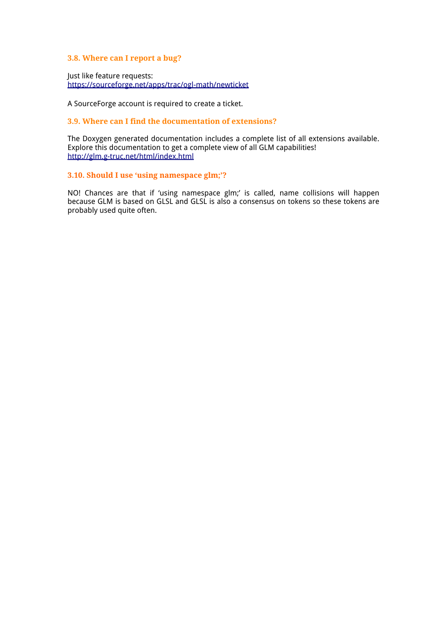#### **3.8. Where can I report a bug?**

Just like feature requests: [https](http://www.google.com/url?q=https%3A%2F%2Fsourceforge.net%2Fapps%2Ftrac%2Fogl-math%2Fnewticket&sa=D&sntz=1&usg=AFQjCNEkp6kROg7wcAG0eGgxjjr7AHkQlQ)://so[urc](http://www.google.com/url?q=https%3A%2F%2Fsourceforge.net%2Fapps%2Ftrac%2Fogl-math%2Fnewticket&sa=D&sntz=1&usg=AFQjCNEkp6kROg7wcAG0eGgxjjr7AHkQlQ)e[forge.net/app](http://www.google.com/url?q=https%3A%2F%2Fsourceforge.net%2Fapps%2Ftrac%2Fogl-math%2Fnewticket&sa=D&sntz=1&usg=AFQjCNEkp6kROg7wcAG0eGgxjjr7AHkQlQ)s/trac/ogl-[math](http://www.google.com/url?q=https%3A%2F%2Fsourceforge.net%2Fapps%2Ftrac%2Fogl-math%2Fnewticket&sa=D&sntz=1&usg=AFQjCNEkp6kROg7wcAG0eGgxjjr7AHkQlQ)/n[ewticke](http://www.google.com/url?q=https%3A%2F%2Fsourceforge.net%2Fapps%2Ftrac%2Fogl-math%2Fnewticket&sa=D&sntz=1&usg=AFQjCNEkp6kROg7wcAG0eGgxjjr7AHkQlQ)t

A SourceForge account is required to create a ticket.

## **3.9. Where can I find the documentation of extensions?**

The Doxygen generated documentation includes a complete list of all extensions available. Explore this documentation to get a com[p](http://www.google.com/url?q=http%3A%2F%2Fglm.g-truc.net%2Fhtml%2Findex.html&sa=D&sntz=1&usg=AFQjCNELtiYXpXCTATUMXco64RhGMAOahw)l[ete](http://www.google.com/url?q=http%3A%2F%2Fglm.g-truc.net%2Fhtml%2Findex.html&sa=D&sntz=1&usg=AFQjCNELtiYXpXCTATUMXco64RhGMAOahw) view [of](http://www.google.com/url?q=http%3A%2F%2Fglm.g-truc.net%2Fhtml%2Findex.html&sa=D&sntz=1&usg=AFQjCNELtiYXpXCTATUMXco64RhGMAOahw) [all](http://www.google.com/url?q=http%3A%2F%2Fglm.g-truc.net%2Fhtml%2Findex.html&sa=D&sntz=1&usg=AFQjCNELtiYXpXCTATUMXco64RhGMAOahw) GLM ca[pabilit](http://www.google.com/url?q=http%3A%2F%2Fglm.g-truc.net%2Fhtml%2Findex.html&sa=D&sntz=1&usg=AFQjCNELtiYXpXCTATUMXco64RhGMAOahw)ies! [http:](http://www.google.com/url?q=http%3A%2F%2Fglm.g-truc.net%2Fhtml%2Findex.html&sa=D&sntz=1&usg=AFQjCNELtiYXpXCTATUMXco64RhGMAOahw)//gl[m.](http://www.google.com/url?q=http%3A%2F%2Fglm.g-truc.net%2Fhtml%2Findex.html&sa=D&sntz=1&usg=AFQjCNELtiYXpXCTATUMXco64RhGMAOahw)g-[truc](http://www.google.com/url?q=http%3A%2F%2Fglm.g-truc.net%2Fhtml%2Findex.html&sa=D&sntz=1&usg=AFQjCNELtiYXpXCTATUMXco64RhGMAOahw).ne[t/h](http://www.google.com/url?q=http%3A%2F%2Fglm.g-truc.net%2Fhtml%2Findex.html&sa=D&sntz=1&usg=AFQjCNELtiYXpXCTATUMXco64RhGMAOahw)t[ml/ind](http://www.google.com/url?q=http%3A%2F%2Fglm.g-truc.net%2Fhtml%2Findex.html&sa=D&sntz=1&usg=AFQjCNELtiYXpXCTATUMXco64RhGMAOahw)ex.[html](http://www.google.com/url?q=http%3A%2F%2Fglm.g-truc.net%2Fhtml%2Findex.html&sa=D&sntz=1&usg=AFQjCNELtiYXpXCTATUMXco64RhGMAOahw)

#### **3.10. Should I use 'using namespace glm;'?**

NO! Chances are that if 'using namespace glm;' is called, name collisions will happen because GLM is based on GLSL and GLSL is also a consensus on tokens so these tokens are probably used quite often.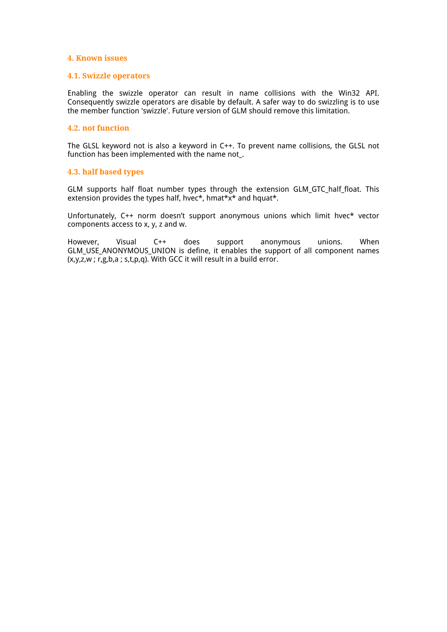## **4. Known issues**

#### **4.1. Swizzle operators**

Enabling the swizzle operator can result in name collisions with the Win32 API. Consequently swizzle operators are disable by default. A safer way to do swizzling is to use the member function 'swizzle'. Future version of GLM should remove this limitation.

#### **4.2. not function**

The GLSL keyword not is also a keyword in C++. To prevent name collisions, the GLSL not function has been implemented with the name not\_.

#### **4.3. half based types**

GLM supports half float number types through the extension GLM\_GTC\_half\_float. This extension provides the types half, hvec\*, hmat\*x\* and hquat\*.

Unfortunately, C++ norm doesn't support anonymous unions which limit hvec\* vector components access to x, y, z and w.

However, Visual C++ does support anonymous unions. When GLM\_USE\_ANONYMOUS\_UNION is define, it enables the support of all component names (x,y,z,w ; r,g,b,a ; s,t,p,q). With GCC it will result in a build error.